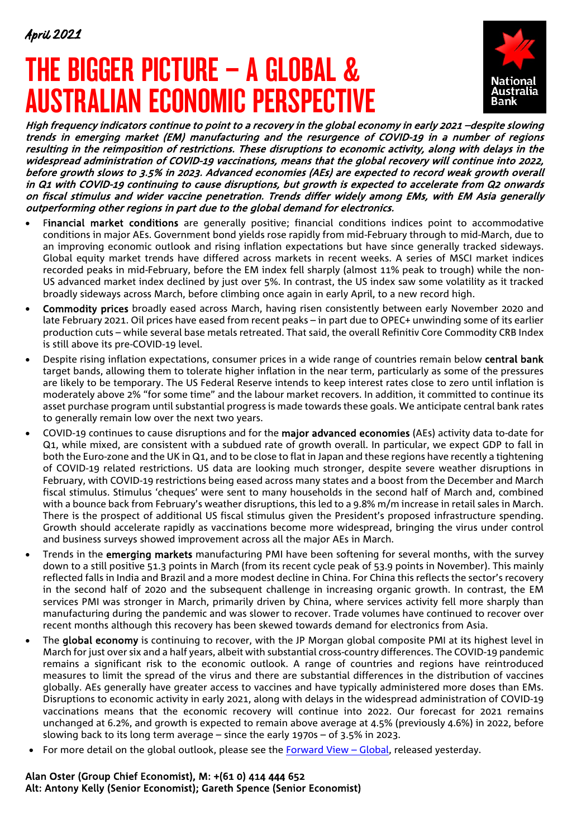# THE BIGGER PICTURE – A GLOBAL & AUSTRALIAN ECONOMIC PERSPECTIVE



High frequency indicators continue to point to a recovery in the global economy in early 2021 –despite slowing trends in emerging market (EM) manufacturing and the resurgence of COVID-19 in a number of regions resulting in the reimposition of restrictions. These disruptions to economic activity, along with delays in the widespread administration of COVID-19 vaccinations, means that the global recovery will continue into 2022, before growth slows to 3.5% in 2023. Advanced economies (AEs) are expected to record weak growth overall in Q1 with COVID-19 continuing to cause disruptions, but growth is expected to accelerate from Q2 onwards on fiscal stimulus and wider vaccine penetration. Trends differ widely among EMs, with EM Asia generally outperforming other regions in part due to the global demand for electronics.

- Financial market conditions are generally positive; financial conditions indices point to accommodative conditions in major AEs. Government bond yields rose rapidly from mid-February through to mid-March, due to an improving economic outlook and rising inflation expectations but have since generally tracked sideways. Global equity market trends have differed across markets in recent weeks. A series of MSCI market indices recorded peaks in mid-February, before the EM index fell sharply (almost 11% peak to trough) while the non-US advanced market index declined by just over 5%. In contrast, the US index saw some volatility as it tracked broadly sideways across March, before climbing once again in early April, to a new record high.
- Commodity prices broadly eased across March, having risen consistently between early November 2020 and late February 2021. Oil prices have eased from recent peaks – in part due to OPEC+ unwinding some of its earlier production cuts – while several base metals retreated. That said, the overall Refinitiv Core Commodity CRB Index is still above its pre-COVID-19 level.
- Despite rising inflation expectations, consumer prices in a wide range of countries remain below central bank target bands, allowing them to tolerate higher inflation in the near term, particularly as some of the pressures are likely to be temporary. The US Federal Reserve intends to keep interest rates close to zero until inflation is moderately above 2% "for some time" and the labour market recovers. In addition, it committed to continue its asset purchase program until substantial progress is made towards these goals. We anticipate central bank rates to generally remain low over the next two years.
- COVID-19 continues to cause disruptions and for the major advanced economies (AEs) activity data to-date for Q1, while mixed, are consistent with a subdued rate of growth overall. In particular, we expect GDP to fall in both the Euro-zone and the UK in Q1, and to be close to flat in Japan and these regions have recently a tightening of COVID-19 related restrictions. US data are looking much stronger, despite severe weather disruptions in February, with COVID-19 restrictions being eased across many states and a boost from the December and March fiscal stimulus. Stimulus 'cheques' were sent to many households in the second half of March and, combined with a bounce back from February's weather disruptions, this led to a 9.8% m/m increase in retail sales in March. There is the prospect of additional US fiscal stimulus given the President's proposed infrastructure spending. Growth should accelerate rapidly as vaccinations become more widespread, bringing the virus under control and business surveys showed improvement across all the major AEs in March.
- Trends in the emerging markets manufacturing PMI have been softening for several months, with the survey down to a still positive 51.3 points in March (from its recent cycle peak of 53.9 points in November). This mainly reflected falls in India and Brazil and a more modest decline in China. For China this reflects the sector's recovery in the second half of 2020 and the subsequent challenge in increasing organic growth. In contrast, the EM services PMI was stronger in March, primarily driven by China, where services activity fell more sharply than manufacturing during the pandemic and was slower to recover. Trade volumes have continued to recover over recent months although this recovery has been skewed towards demand for electronics from Asia.
- The global economy is continuing to recover, with the JP Morgan global composite PMI at its highest level in March for just over six and a half years, albeit with substantial cross-country differences. The COVID-19 pandemic remains a significant risk to the economic outlook. A range of countries and regions have reintroduced measures to limit the spread of the virus and there are substantial differences in the distribution of vaccines globally. AEs generally have greater access to vaccines and have typically administered more doses than EMs. Disruptions to economic activity in early 2021, along with delays in the widespread administration of COVID-19 vaccinations means that the economic recovery will continue into 2022. Our forecast for 2021 remains unchanged at 6.2%, and growth is expected to remain above average at 4.5% (previously 4.6%) in 2022, before slowing back to its long term average – since the early 1970s – of 3.5% in 2023.
- For more detail on the global outlook, please see the [Forward View –](https://business.nab.com.au/the-forward-view-global-april-2021-45766/) Global, released yesterday.

## Alan Oster (Group Chief Economist), M: +(61 0) 414 444 652 Alt: Antony Kelly (Senior Economist); Gareth Spence (Senior Economist)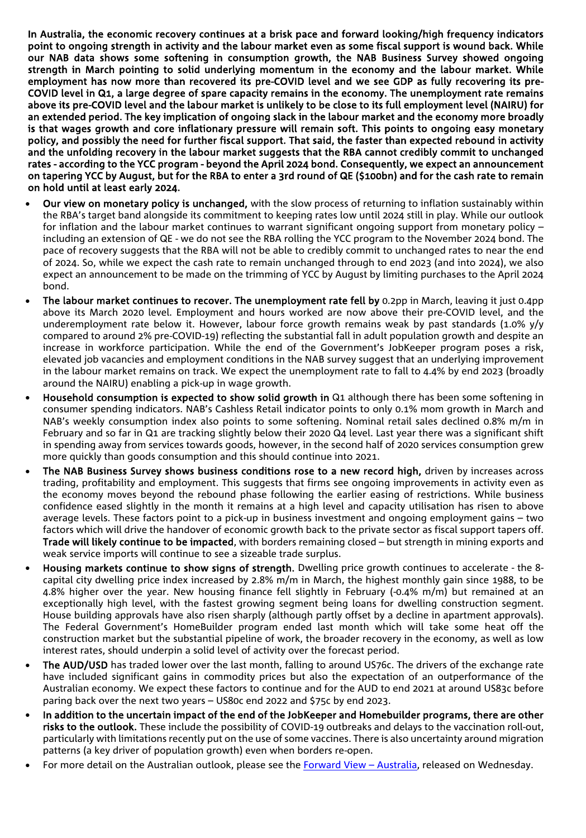In Australia, the economic recovery continues at a brisk pace and forward looking/high frequency indicators point to ongoing strength in activity and the labour market even as some fiscal support is wound back. While our NAB data shows some softening in consumption growth, the NAB Business Survey showed ongoing strength in March pointing to solid underlying momentum in the economy and the labour market. While employment has now more than recovered its pre-COVID level and we see GDP as fully recovering its pre-COVID level in Q1, a large degree of spare capacity remains in the economy. The unemployment rate remains above its pre-COVID level and the labour market is unlikely to be close to its full employment level (NAIRU) for an extended period. The key implication of ongoing slack in the labour market and the economy more broadly is that wages growth and core inflationary pressure will remain soft. This points to ongoing easy monetary policy, and possibly the need for further fiscal support. That said, the faster than expected rebound in activity and the unfolding recovery in the labour market suggests that the RBA cannot credibly commit to unchanged rates - according to the YCC program - beyond the April 2024 bond. Consequently, we expect an announcement on tapering YCC by August, but for the RBA to enter a 3rd round of QE (\$100bn) and for the cash rate to remain on hold until at least early 2024.

- Our view on monetary policy is unchanged, with the slow process of returning to inflation sustainably within the RBA's target band alongside its commitment to keeping rates low until 2024 still in play. While our outlook for inflation and the labour market continues to warrant significant ongoing support from monetary policy – including an extension of QE - we do not see the RBA rolling the YCC program to the November 2024 bond. The pace of recovery suggests that the RBA will not be able to credibly commit to unchanged rates to near the end of 2024. So, while we expect the cash rate to remain unchanged through to end 2023 (and into 2024), we also expect an announcement to be made on the trimming of YCC by August by limiting purchases to the April 2024 bond.
- The labour market continues to recover. The unemployment rate fell by 0.2pp in March, leaving it just 0.4pp above its March 2020 level. Employment and hours worked are now above their pre-COVID level, and the underemployment rate below it. However, labour force growth remains weak by past standards (1.0% y/y compared to around 2% pre-COVID-19) reflecting the substantial fall in adult population growth and despite an increase in workforce participation. While the end of the Government's JobKeeper program poses a risk, elevated job vacancies and employment conditions in the NAB survey suggest that an underlying improvement in the labour market remains on track. We expect the unemployment rate to fall to 4.4% by end 2023 (broadly around the NAIRU) enabling a pick-up in wage growth.
- Household consumption is expected to show solid growth in Q1 although there has been some softening in consumer spending indicators. NAB's Cashless Retail indicator points to only 0.1% mom growth in March and NAB's weekly consumption index also points to some softening. Nominal retail sales declined 0.8% m/m in February and so far in Q1 are tracking slightly below their 2020 Q4 level. Last year there was a significant shift in spending away from services towards goods, however, in the second half of 2020 services consumption grew more quickly than goods consumption and this should continue into 2021.
- The NAB Business Survey shows business conditions rose to a new record high, driven by increases across trading, profitability and employment. This suggests that firms see ongoing improvements in activity even as the economy moves beyond the rebound phase following the earlier easing of restrictions. While business confidence eased slightly in the month it remains at a high level and capacity utilisation has risen to above average levels. These factors point to a pick-up in business investment and ongoing employment gains – two factors which will drive the handover of economic growth back to the private sector as fiscal support tapers off. Trade will likely continue to be impacted, with borders remaining closed – but strength in mining exports and weak service imports will continue to see a sizeable trade surplus.
- Housing markets continue to show signs of strength. Dwelling price growth continues to accelerate the 8capital city dwelling price index increased by 2.8% m/m in March, the highest monthly gain since 1988, to be 4.8% higher over the year. New housing finance fell slightly in February (-0.4% m/m) but remained at an exceptionally high level, with the fastest growing segment being loans for dwelling construction segment. House building approvals have also risen sharply (although partly offset by a decline in apartment approvals). The Federal Government's HomeBuilder program ended last month which will take some heat off the construction market but the substantial pipeline of work, the broader recovery in the economy, as well as low interest rates, should underpin a solid level of activity over the forecast period.
- The AUD/USD has traded lower over the last month, falling to around US76c. The drivers of the exchange rate have included significant gains in commodity prices but also the expectation of an outperformance of the Australian economy. We expect these factors to continue and for the AUD to end 2021 at around US83c before paring back over the next two years – US80c end 2022 and \$75c by end 2023.
- In addition to the uncertain impact of the end of the JobKeeper and Homebuilder programs, there are other risks to the outlook. These include the possibility of COVID-19 outbreaks and delays to the vaccination roll-out, particularly with limitations recently put on the use of some vaccines. There is also uncertainty around migration patterns (a key driver of population growth) even when borders re-open.
- For more detail on the Australian outlook, please see the [Forward View –](https://business.nab.com.au/the-forward-view-australia-april-2021-45749/) Australia, released on Wednesday.